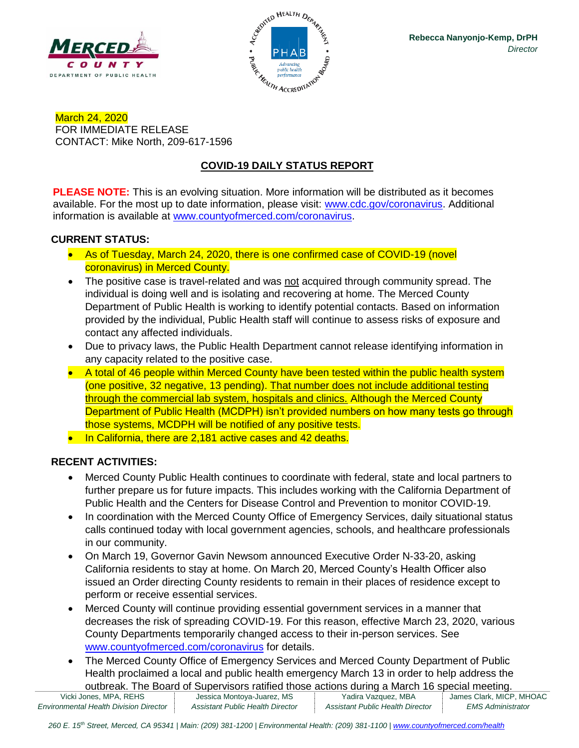



March 24, 2020 FOR IMMEDIATE RELEASE CONTACT: Mike North, 209-617-1596

# **COVID-19 DAILY STATUS REPORT**

**PLEASE NOTE:** This is an evolving situation. More information will be distributed as it becomes available. For the most up to date information, please visit: [www.cdc.gov/coronavirus.](http://www.cdc.gov/coronavirus) Additional information is available at [www.countyofmerced.com/coronavirus.](http://www.countyofmerced.com/coronavirus)

#### **CURRENT STATUS:**

- As of Tuesday, March 24, 2020, there is one confirmed case of COVID-19 (novel coronavirus) in Merced County.
- The positive case is travel-related and was not acquired through community spread. The individual is doing well and is isolating and recovering at home. The Merced County Department of Public Health is working to identify potential contacts. Based on information provided by the individual, Public Health staff will continue to assess risks of exposure and contact any affected individuals.
- Due to privacy laws, the Public Health Department cannot release identifying information in any capacity related to the positive case.
- A total of 46 people within Merced County have been tested within the public health system (one positive, 32 negative, 13 pending). That number does not include additional testing through the commercial lab system, hospitals and clinics. Although the Merced County Department of Public Health (MCDPH) isn't provided numbers on how many tests go through those systems, MCDPH will be notified of any positive tests.
- In California, there are 2,181 active cases and 42 deaths.

#### **RECENT ACTIVITIES:**

- Merced County Public Health continues to coordinate with federal, state and local partners to further prepare us for future impacts. This includes working with the California Department of Public Health and the Centers for Disease Control and Prevention to monitor COVID-19.
- In coordination with the Merced County Office of Emergency Services, daily situational status calls continued today with local government agencies, schools, and healthcare professionals in our community.
- On March 19, Governor Gavin Newsom announced Executive Order N-33-20, asking California residents to stay at home. On March 20, Merced County's Health Officer also issued an Order directing County residents to remain in their places of residence except to perform or receive essential services.
- Merced County will continue providing essential government services in a manner that decreases the risk of spreading COVID-19. For this reason, effective March 23, 2020, various County Departments temporarily changed access to their in-person services. See [www.countyofmerced.com/coronavirus](http://www.countyofmerced.com/coronavirus) for details.
- The Merced County Office of Emergency Services and Merced County Department of Public Health proclaimed a local and public health emergency March 13 in order to help address the outbreak. The Board of Supervisors ratified those actions during a March 16 special meeting.